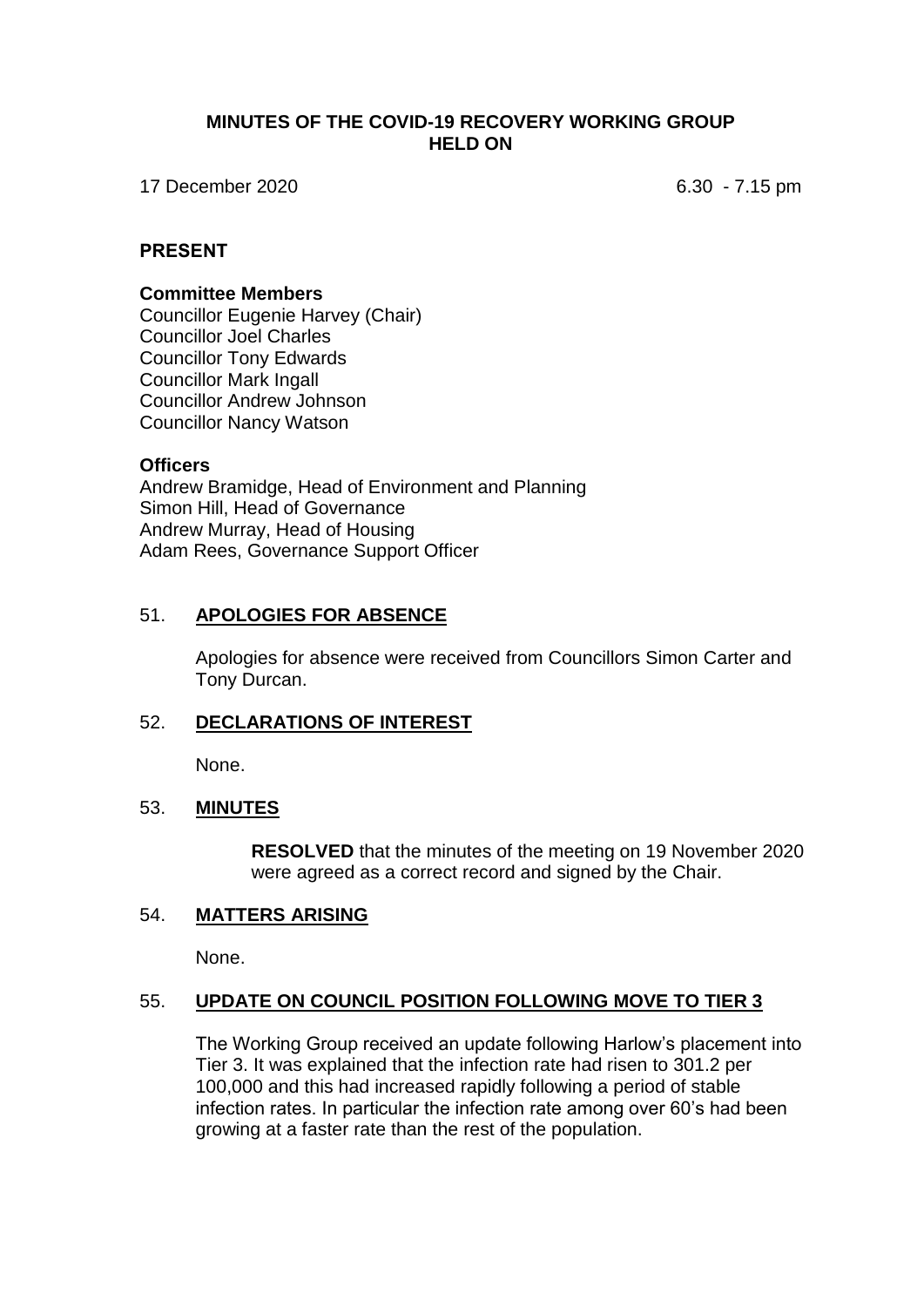#### **MINUTES OF THE COVID-19 RECOVERY WORKING GROUP HELD ON**

17 December 2020 6.30 - 7.15 pm

# **PRESENT**

#### **Committee Members**

Councillor Eugenie Harvey (Chair) Councillor Joel Charles Councillor Tony Edwards Councillor Mark Ingall Councillor Andrew Johnson Councillor Nancy Watson

#### **Officers**

Andrew Bramidge, Head of Environment and Planning Simon Hill, Head of Governance Andrew Murray, Head of Housing Adam Rees, Governance Support Officer

# 51. **APOLOGIES FOR ABSENCE**

Apologies for absence were received from Councillors Simon Carter and Tony Durcan.

# 52. **DECLARATIONS OF INTEREST**

None.

# 53. **MINUTES**

**RESOLVED** that the minutes of the meeting on 19 November 2020 were agreed as a correct record and signed by the Chair.

# 54. **MATTERS ARISING**

None.

#### 55. **UPDATE ON COUNCIL POSITION FOLLOWING MOVE TO TIER 3**

The Working Group received an update following Harlow's placement into Tier 3. It was explained that the infection rate had risen to 301.2 per 100,000 and this had increased rapidly following a period of stable infection rates. In particular the infection rate among over 60's had been growing at a faster rate than the rest of the population.